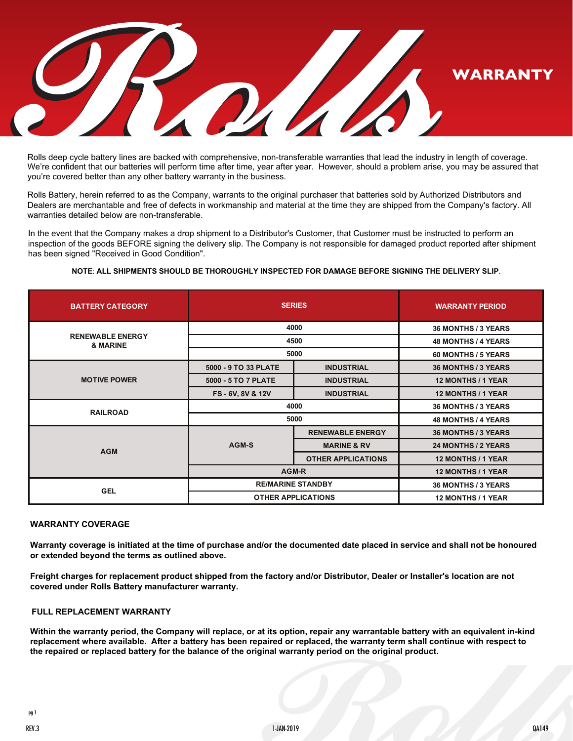

Rolls deep cycle battery lines are backed with comprehensive, non-transferable warranties that lead the industry in length of coverage. We're confident that our batteries will perform time after time, year after year. However, should a problem arise, you may be assured that you're covered better than any other battery warranty in the business.

Rolls Battery, herein referred to as the Company, warrants to the original purchaser that batteries sold by Authorized Distributors and Dealers are merchantable and free of defects in workmanship and material at the time they are shipped from the Company's factory. All warranties detailed below are non-transferable.

In the event that the Company makes a drop shipment to a Distributor's Customer, that Customer must be instructed to perform an inspection of the goods BEFORE signing the delivery slip. The Company is not responsible for damaged product reported after shipment has been signed "Received in Good Condition".

## **NOTE**: **ALL SHIPMENTS SHOULD BE THOROUGHLY INSPECTED FOR DAMAGE BEFORE SIGNING THE DELIVERY SLIP**.

| <b>BATTERY CATEGORY</b>             | <b>SERIES</b>             |                           | <b>WARRANTY PERIOD</b>     |
|-------------------------------------|---------------------------|---------------------------|----------------------------|
| <b>RENEWABLE ENERGY</b><br>& MARINE | 4000                      |                           | 36 MONTHS / 3 YEARS        |
|                                     | 4500                      |                           | <b>48 MONTHS / 4 YEARS</b> |
|                                     | 5000                      |                           | 60 MONTHS / 5 YEARS        |
| <b>MOTIVE POWER</b>                 | 5000 - 9 TO 33 PLATE      | <b>INDUSTRIAL</b>         | 36 MONTHS / 3 YEARS        |
|                                     | 5000 - 5 TO 7 PLATE       | <b>INDUSTRIAL</b>         | 12 MONTHS / 1 YEAR         |
|                                     | FS-6V, 8V & 12V           | <b>INDUSTRIAL</b>         | 12 MONTHS / 1 YEAR         |
| <b>RAILROAD</b>                     | 4000                      |                           | 36 MONTHS / 3 YEARS        |
|                                     | 5000                      |                           | <b>48 MONTHS / 4 YEARS</b> |
| <b>AGM</b>                          | AGM-S                     | <b>RENEWABLE ENERGY</b>   | <b>36 MONTHS / 3 YEARS</b> |
|                                     |                           | <b>MARINE &amp; RV</b>    | 24 MONTHS / 2 YEARS        |
|                                     |                           | <b>OTHER APPLICATIONS</b> | <b>12 MONTHS / 1 YEAR</b>  |
|                                     | AGM-R                     |                           | 12 MONTHS / 1 YEAR         |
| <b>GEL</b>                          | <b>RE/MARINE STANDBY</b>  |                           | <b>36 MONTHS / 3 YEARS</b> |
|                                     | <b>OTHER APPLICATIONS</b> |                           | <b>12 MONTHS / 1 YEAR</b>  |

## **WARRANTY COVERAGE**

**Warranty coverage is initiated at the time of purchase and/or the documented date placed in service and shall not be honoured or extended beyond the terms as outlined above.** 

**Freight charges for replacement product shipped from the factory and/or Distributor, Dealer or Installer's location are not covered under Rolls Battery manufacturer warranty.**

# **FULL REPLACEMENT WARRANTY**

**Within the warranty period, the Company will replace, or at its option, repair any warrantable battery with an equivalent in-kind replacement where available. After a battery has been repaired or replaced, the warranty term shall continue with respect to the repaired or replaced battery for the balance of the original warranty period on the original product.**